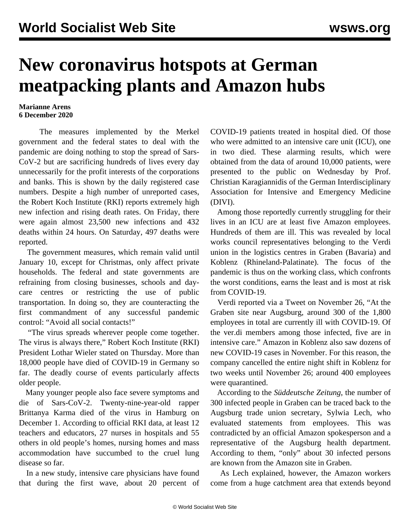## **New coronavirus hotspots at German meatpacking plants and Amazon hubs**

## **Marianne Arens 6 December 2020**

 The measures implemented by the Merkel government and the federal states to deal with the pandemic are doing nothing to stop the spread of Sars-CoV-2 but are sacrificing hundreds of lives every day unnecessarily for the profit interests of the corporations and banks. This is shown by the daily registered case numbers. Despite a high number of unreported cases, the Robert Koch Institute (RKI) reports extremely high new infection and rising death rates. On Friday, there were again almost 23,500 new infections and 432 deaths within 24 hours. On Saturday, 497 deaths were reported.

 The government measures, which remain valid until January 10, except for Christmas, only affect private households. The federal and state governments are refraining from closing businesses, schools and daycare centres or restricting the use of public transportation. In doing so, they are counteracting the first commandment of any successful pandemic control: "Avoid all social contacts!"

 "The virus spreads wherever people come together. The virus is always there," Robert Koch Institute (RKI) President Lothar Wieler stated on Thursday. More than 18,000 people have died of COVID-19 in Germany so far. The deadly course of events particularly affects older people.

 Many younger people also face severe symptoms and die of Sars-CoV-2. Twenty-nine-year-old rapper Brittanya Karma died of the virus in Hamburg on December 1. According to official RKI data, at least 12 teachers and educators, 27 nurses in hospitals and 55 others in old people's homes, nursing homes and mass accommodation have succumbed to the cruel lung disease so far.

 In a new study, intensive care physicians have found that during the first wave, about 20 percent of COVID-19 patients treated in hospital died. Of those who were admitted to an intensive care unit (ICU), one in two died. These alarming results, which were obtained from the data of around 10,000 patients, were presented to the public on Wednesday by Prof. Christian Karagiannidis of the German Interdisciplinary Association for Intensive and Emergency Medicine (DIVI).

 Among those reportedly currently struggling for their lives in an ICU are at least five Amazon employees. Hundreds of them are ill. This was revealed by local works council representatives belonging to the Verdi union in the logistics centres in Graben (Bavaria) and Koblenz (Rhineland-Palatinate). The focus of the pandemic is thus on the working class, which confronts the worst conditions, earns the least and is most at risk from COVID-19.

 Verdi reported via a Tweet on November 26, "At the Graben site near Augsburg, around 300 of the 1,800 employees in total are currently ill with COVID-19. Of the ver.di members among those infected, five are in intensive care." Amazon in Koblenz also saw dozens of new COVID-19 cases in November. For this reason, the company cancelled the entire night shift in Koblenz for two weeks until November 26; around 400 employees were quarantined.

 According to the *Süddeutsche Zeitung*, the number of 300 infected people in Graben can be traced back to the Augsburg trade union secretary, Sylwia Lech, who evaluated statements from employees. This was contradicted by an official Amazon spokesperson and a representative of the Augsburg health department. According to them, "only" about 30 infected persons are known from the Amazon site in Graben.

 As Lech explained, however, the Amazon workers come from a huge catchment area that extends beyond